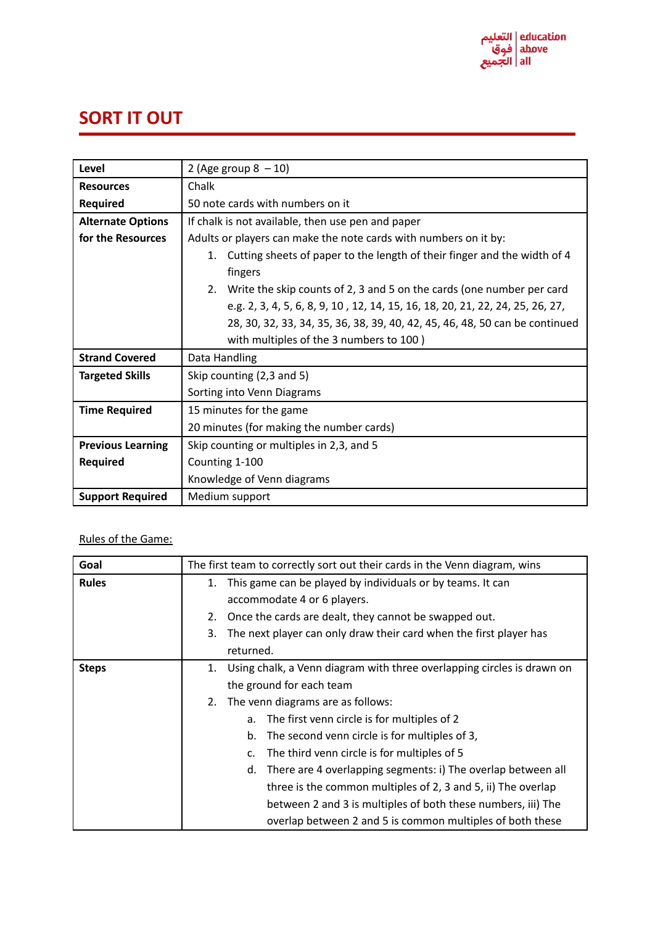

## **SORT IT OUT**

| Level                    | 2 (Age group $8 - 10$ )                                                                   |
|--------------------------|-------------------------------------------------------------------------------------------|
| <b>Resources</b>         | Chalk                                                                                     |
| <b>Required</b>          | 50 note cards with numbers on it                                                          |
| <b>Alternate Options</b> | If chalk is not available, then use pen and paper                                         |
| for the Resources        | Adults or players can make the note cards with numbers on it by:                          |
|                          | Cutting sheets of paper to the length of their finger and the width of 4<br>1.<br>fingers |
|                          | Write the skip counts of 2, 3 and 5 on the cards (one number per card<br>2.               |
|                          | e.g. 2, 3, 4, 5, 6, 8, 9, 10, 12, 14, 15, 16, 18, 20, 21, 22, 24, 25, 26, 27,             |
|                          | 28, 30, 32, 33, 34, 35, 36, 38, 39, 40, 42, 45, 46, 48, 50 can be continued               |
|                          | with multiples of the 3 numbers to 100)                                                   |
| <b>Strand Covered</b>    | Data Handling                                                                             |
| <b>Targeted Skills</b>   | Skip counting (2,3 and 5)                                                                 |
|                          | Sorting into Venn Diagrams                                                                |
| <b>Time Required</b>     | 15 minutes for the game                                                                   |
|                          | 20 minutes (for making the number cards)                                                  |
| <b>Previous Learning</b> | Skip counting or multiples in 2,3, and 5                                                  |
| <b>Required</b>          | Counting 1-100                                                                            |
|                          | Knowledge of Venn diagrams                                                                |
| <b>Support Required</b>  | Medium support                                                                            |

## Rules of the Game:

| Goal         | The first team to correctly sort out their cards in the Venn diagram, wins   |
|--------------|------------------------------------------------------------------------------|
| <b>Rules</b> | This game can be played by individuals or by teams. It can<br>1.             |
|              | accommodate 4 or 6 players.                                                  |
|              | Once the cards are dealt, they cannot be swapped out.<br>2.                  |
|              | The next player can only draw their card when the first player has<br>3.     |
|              | returned.                                                                    |
| <b>Steps</b> | Using chalk, a Venn diagram with three overlapping circles is drawn on<br>1. |
|              | the ground for each team                                                     |
|              | The venn diagrams are as follows:<br>2.                                      |
|              | The first venn circle is for multiples of 2<br>a.                            |
|              | The second venn circle is for multiples of 3,<br>b.                          |
|              | The third venn circle is for multiples of 5<br>C.                            |
|              | There are 4 overlapping segments: i) The overlap between all<br>d.           |
|              | three is the common multiples of 2, 3 and 5, ii) The overlap                 |
|              | between 2 and 3 is multiples of both these numbers, iii) The                 |
|              | overlap between 2 and 5 is common multiples of both these                    |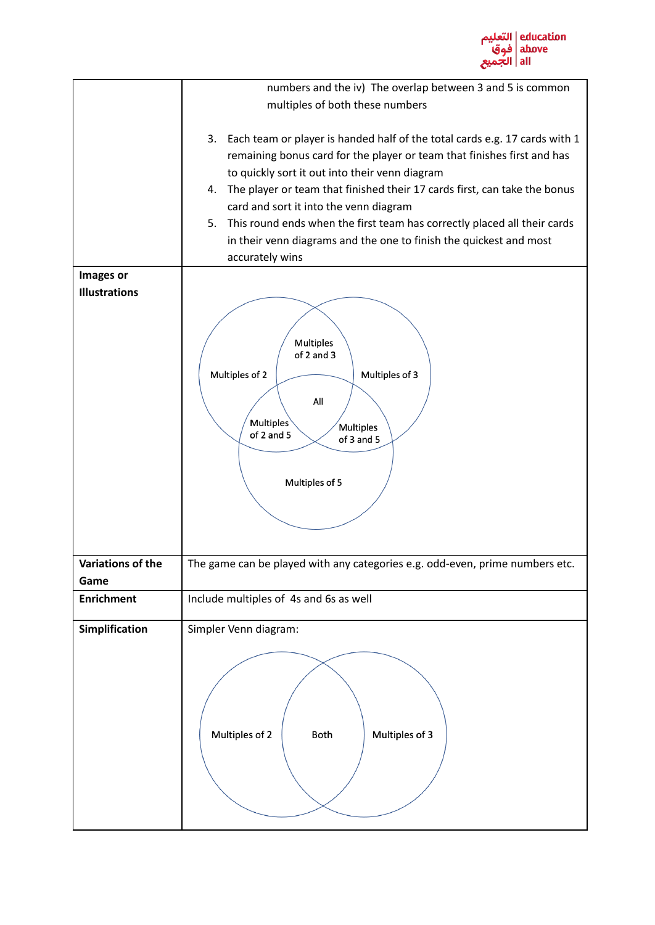

|                      | numbers and the iv) The overlap between 3 and 5 is common                        |
|----------------------|----------------------------------------------------------------------------------|
|                      | multiples of both these numbers                                                  |
|                      |                                                                                  |
|                      | Each team or player is handed half of the total cards e.g. 17 cards with 1<br>3. |
|                      | remaining bonus card for the player or team that finishes first and has          |
|                      | to quickly sort it out into their venn diagram                                   |
|                      | The player or team that finished their 17 cards first, can take the bonus<br>4.  |
|                      | card and sort it into the venn diagram                                           |
|                      | This round ends when the first team has correctly placed all their cards<br>5.   |
|                      | in their venn diagrams and the one to finish the quickest and most               |
|                      | accurately wins                                                                  |
| Images or            |                                                                                  |
| <b>Illustrations</b> |                                                                                  |
|                      |                                                                                  |
|                      |                                                                                  |
|                      | Multiples<br>of 2 and 3                                                          |
|                      |                                                                                  |
|                      | Multiples of 2<br>Multiples of 3                                                 |
|                      | All                                                                              |
|                      | <b>Multiples</b>                                                                 |
|                      | Multiples<br>of 2 and 5<br>of 3 and 5                                            |
|                      |                                                                                  |
|                      |                                                                                  |
|                      | Multiples of 5                                                                   |
|                      |                                                                                  |
|                      |                                                                                  |
|                      |                                                                                  |
|                      |                                                                                  |
| Variations of the    | The game can be played with any categories e.g. odd-even, prime numbers etc.     |
| Game                 |                                                                                  |
| <b>Enrichment</b>    | Include multiples of 4s and 6s as well                                           |
| Simplification       | Simpler Venn diagram:                                                            |
|                      |                                                                                  |
|                      |                                                                                  |
|                      |                                                                                  |
|                      |                                                                                  |
|                      |                                                                                  |
|                      |                                                                                  |
|                      | Multiples of 2<br>Multiples of 3<br>Both                                         |
|                      |                                                                                  |
|                      |                                                                                  |
|                      |                                                                                  |
|                      |                                                                                  |
|                      |                                                                                  |